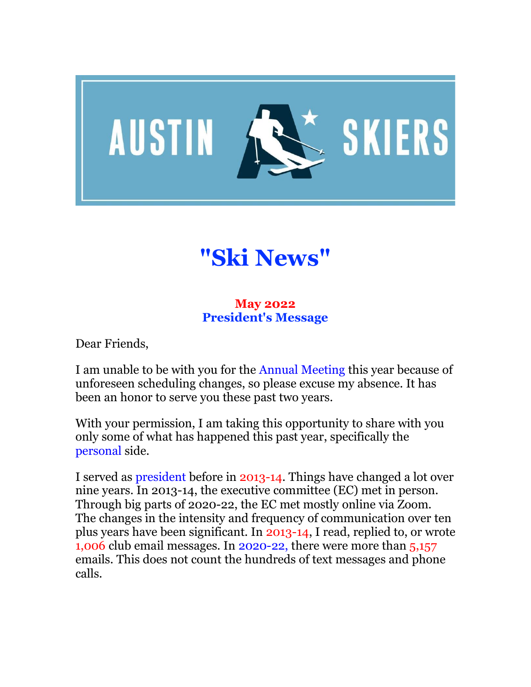

# **"Ski News"**

## **May 2022 President's Message**

Dear Friends,

I am unable to be with you for the Annual Meeting this year because of unforeseen scheduling changes, so please excuse my absence. It has been an honor to serve you these past two years.

With your permission, I am taking this opportunity to share with you only some of what has happened this past year, specifically the personal side.

I served as president before in 2013-14. Things have changed a lot over nine years. In 2013-14, the executive committee (EC) met in person. Through big parts of 2020-22, the EC met mostly online via Zoom. The changes in the intensity and frequency of communication over ten plus years have been significant. In 2013-14, I read, replied to, or wrote 1,006 club email messages. In 2020-22, there were more than 5,157 emails. This does not count the hundreds of text messages and phone calls.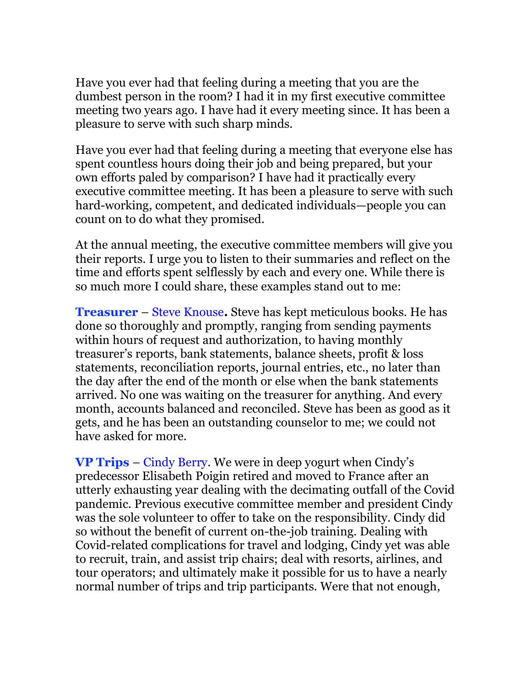Have you ever had that feeling during a meeting that you are the dumbest person in the room? I had it in my first executive committee meeting two years ago. I have had it every meeting since. It has been a pleasure to serve with such sharp minds.

Have you ever had that feeling during a meeting that everyone else has spent countless hours doing their job and being prepared, but your own efforts paled by comparison? I have had it practically every executive committee meeting. It has been a pleasure to serve with such hard-working, competent, and dedicated individuals—people you can count on to do what they promised.

At the annual meeting, the executive committee members will give you their reports. I urge you to listen to their summaries and reflect on the time and efforts spent selflessly by each and every one. While there is so much more I could share, these examples stand out to me:

**Treasurer** – Steve Knouse**.** Steve has kept meticulous books. He has done so thoroughly and promptly, ranging from sending payments within hours of request and authorization, to having monthly treasurer's reports, bank statements, balance sheets, profit & loss statements, reconciliation reports, journal entries, etc., no later than the day after the end of the month or else when the bank statements arrived. No one was waiting on the treasurer for anything. And every month, accounts balanced and reconciled. Steve has been as good as it gets, and he has been an outstanding counselor to me; we could not have asked for more.

**VP Trips** – Cindy Berry. We were in deep yogurt when Cindy's predecessor Elisabeth Poigin retired and moved to France after an utterly exhausting year dealing with the decimating outfall of the Covid pandemic. Previous executive committee member and president Cindy was the sole volunteer to offer to take on the responsibility. Cindy did so without the benefit of current on-the-job training. Dealing with Covid-related complications for travel and lodging, Cindy yet was able to recruit, train, and assist trip chairs; deal with resorts, airlines, and tour operators; and ultimately make it possible for us to have a nearly normal number of trips and trip participants. Were that not enough,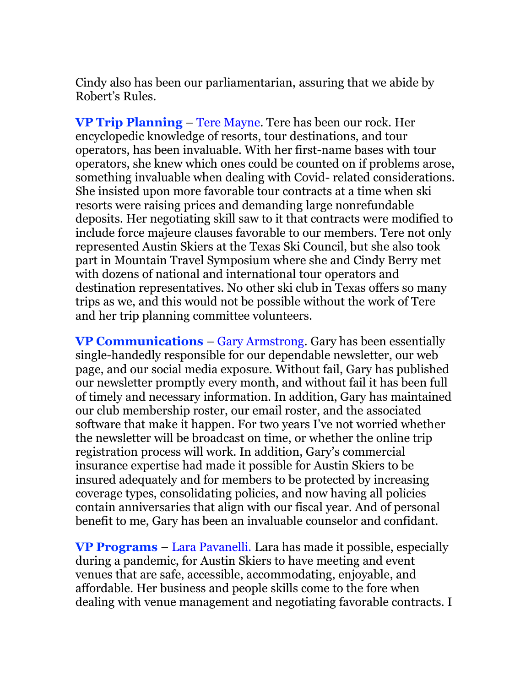Cindy also has been our parliamentarian, assuring that we abide by Robert's Rules.

**VP Trip Planning** – Tere Mayne. Tere has been our rock. Her encyclopedic knowledge of resorts, tour destinations, and tour operators, has been invaluable. With her first-name bases with tour operators, she knew which ones could be counted on if problems arose, something invaluable when dealing with Covid- related considerations. She insisted upon more favorable tour contracts at a time when ski resorts were raising prices and demanding large nonrefundable deposits. Her negotiating skill saw to it that contracts were modified to include force majeure clauses favorable to our members. Tere not only represented Austin Skiers at the Texas Ski Council, but she also took part in Mountain Travel Symposium where she and Cindy Berry met with dozens of national and international tour operators and destination representatives. No other ski club in Texas offers so many trips as we, and this would not be possible without the work of Tere and her trip planning committee volunteers.

**VP Communications** – Gary Armstrong. Gary has been essentially single-handedly responsible for our dependable newsletter, our web page, and our social media exposure. Without fail, Gary has published our newsletter promptly every month, and without fail it has been full of timely and necessary information. In addition, Gary has maintained our club membership roster, our email roster, and the associated software that make it happen. For two years I've not worried whether the newsletter will be broadcast on time, or whether the online trip registration process will work. In addition, Gary's commercial insurance expertise had made it possible for Austin Skiers to be insured adequately and for members to be protected by increasing coverage types, consolidating policies, and now having all policies contain anniversaries that align with our fiscal year. And of personal benefit to me, Gary has been an invaluable counselor and confidant.

**VP Programs** – Lara Pavanelli. Lara has made it possible, especially during a pandemic, for Austin Skiers to have meeting and event venues that are safe, accessible, accommodating, enjoyable, and affordable. Her business and people skills come to the fore when dealing with venue management and negotiating favorable contracts. I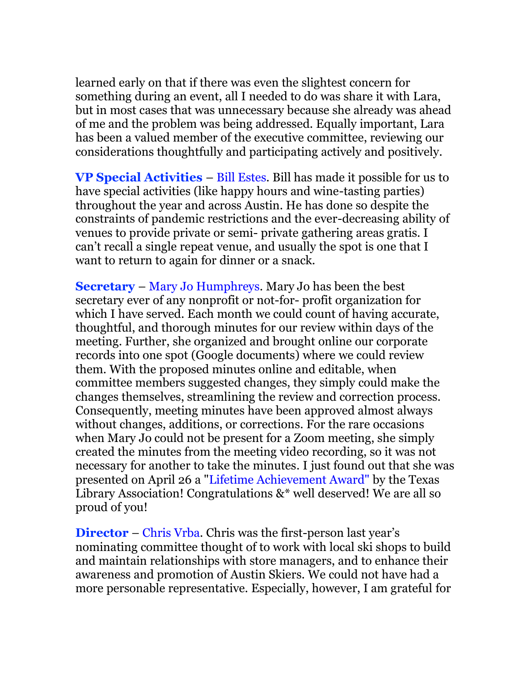learned early on that if there was even the slightest concern for something during an event, all I needed to do was share it with Lara, but in most cases that was unnecessary because she already was ahead of me and the problem was being addressed. Equally important, Lara has been a valued member of the executive committee, reviewing our considerations thoughtfully and participating actively and positively.

**VP Special Activities** – Bill Estes. Bill has made it possible for us to have special activities (like happy hours and wine-tasting parties) throughout the year and across Austin. He has done so despite the constraints of pandemic restrictions and the ever-decreasing ability of venues to provide private or semi- private gathering areas gratis. I can't recall a single repeat venue, and usually the spot is one that I want to return to again for dinner or a snack.

**Secretary** – Mary Jo Humphreys. Mary Jo has been the best secretary ever of any nonprofit or not-for- profit organization for which I have served. Each month we could count of having accurate, thoughtful, and thorough minutes for our review within days of the meeting. Further, she organized and brought online our corporate records into one spot (Google documents) where we could review them. With the proposed minutes online and editable, when committee members suggested changes, they simply could make the changes themselves, streamlining the review and correction process. Consequently, meeting minutes have been approved almost always without changes, additions, or corrections. For the rare occasions when Mary Jo could not be present for a Zoom meeting, she simply created the minutes from the meeting video recording, so it was not necessary for another to take the minutes. I just found out that she was presented on April 26 a "Lifetime Achievement Award" by the Texas Library Association! Congratulations  $\&^*$  well deserved! We are all so proud of you!

**Director** – Chris Vrba. Chris was the first-person last year's nominating committee thought of to work with local ski shops to build and maintain relationships with store managers, and to enhance their awareness and promotion of Austin Skiers. We could not have had a more personable representative. Especially, however, I am grateful for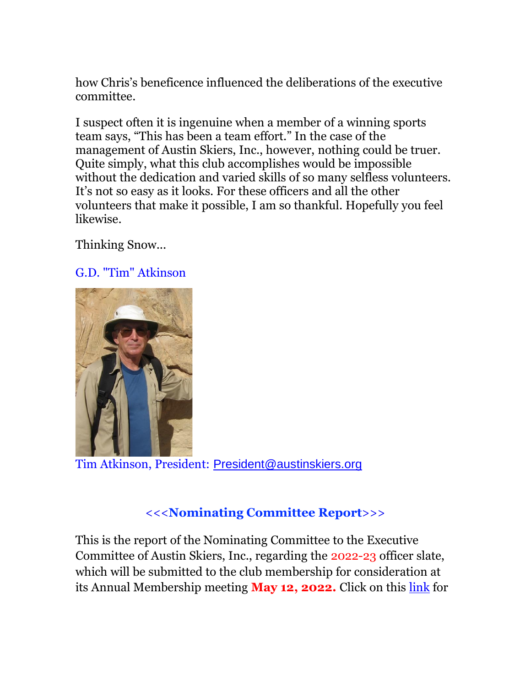how Chris's beneficence influenced the deliberations of the executive committee.

I suspect often it is ingenuine when a member of a winning sports team says, "This has been a team effort." In the case of the management of Austin Skiers, Inc., however, nothing could be truer. Quite simply, what this club accomplishes would be impossible without the dedication and varied skills of so many selfless volunteers. It's not so easy as it looks. For these officers and all the other volunteers that make it possible, I am so thankful. Hopefully you feel likewise.

Thinking Snow...

## G.D. "Tim" Atkinson



Tim Atkinson, President: [President@austinskiers.org](mailto:president@austinskiers.org)

# <<<**Nominating Committee Report**>>>

This is the report of the Nominating Committee to the Executive Committee of Austin Skiers, Inc., regarding the 2022-23 officer slate, which will be submitted to the club membership for consideration at its Annual Membership meeting **May 12, 2022.** Click on this [link](https://austinskiers.org/resources/Board%20members%20past%20) for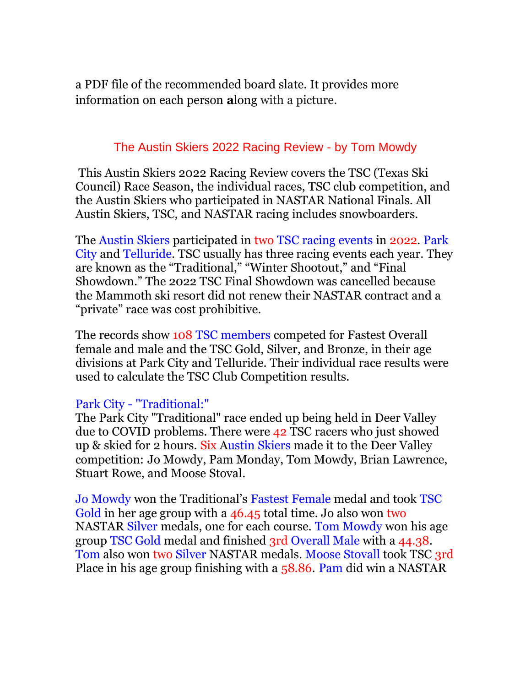a PDF file of the recommended board slate. It provides more information on each person **a**long with a picture.

## The Austin Skiers 2022 Racing Review - by Tom Mowdy

This Austin Skiers 2022 Racing Review covers the TSC (Texas Ski Council) Race Season, the individual races, TSC club competition, and the Austin Skiers who participated in NASTAR National Finals. All Austin Skiers, TSC, and NASTAR racing includes snowboarders.

The Austin Skiers participated in two TSC racing events in 2022. Park City and Telluride. TSC usually has three racing events each year. They are known as the "Traditional," "Winter Shootout," and "Final Showdown." The 2022 TSC Final Showdown was cancelled because the Mammoth ski resort did not renew their NASTAR contract and a "private" race was cost prohibitive.

The records show 108 TSC members competed for Fastest Overall female and male and the TSC Gold, Silver, and Bronze, in their age divisions at Park City and Telluride. Their individual race results were used to calculate the TSC Club Competition results.

### Park City - "Traditional:"

The Park City "Traditional" race ended up being held in Deer Valley due to COVID problems. There were 42 TSC racers who just showed up & skied for 2 hours. Six Austin Skiers made it to the Deer Valley competition: Jo Mowdy, Pam Monday, Tom Mowdy, Brian Lawrence, Stuart Rowe, and Moose Stoval.

Jo Mowdy won the Traditional's Fastest Female medal and took TSC Gold in her age group with a 46.45 total time. Jo also won two NASTAR Silver medals, one for each course. Tom Mowdy won his age group TSC Gold medal and finished 3rd Overall Male with a 44.38. Tom also won two Silver NASTAR medals. Moose Stovall took TSC 3rd Place in his age group finishing with a 58.86. Pam did win a NASTAR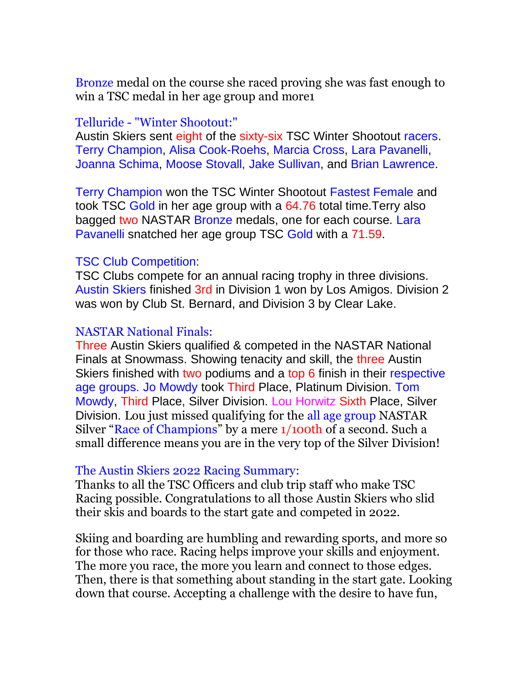Bronze medal on the course she raced proving she was fast enough to win a TSC medal in her age group and more1

#### Telluride - "Winter Shootout:"

Austin Skiers sent eight of the sixty-six TSC Winter Shootout racers. Terry Champion, Alisa Cook-Roehs, Marcia Cross, Lara Pavanelli, Joanna Schima, Moose Stovall, Jake Sullivan, and Brian Lawrence.

Terry Champion won the TSC Winter Shootout Fastest Female and took TSC Gold in her age group with a 64.76 total time.Terry also bagged two NASTAR Bronze medals, one for each course. Lara Pavanelli snatched her age group TSC Gold with a 71.59.

#### TSC Club Competition:

TSC Clubs compete for an annual racing trophy in three divisions. Austin Skiers finished 3rd in Division 1 won by Los Amigos. Division 2 was won by Club St. Bernard, and Division 3 by Clear Lake.

#### NASTAR National Finals:

Three Austin Skiers qualified & competed in the NASTAR National Finals at Snowmass. Showing tenacity and skill, the three Austin Skiers finished with two podiums and a top 6 finish in their respective age groups. Jo Mowdy took Third Place, Platinum Division. Tom Mowdy, Third Place, Silver Division. Lou Horwitz Sixth Place, Silver Division. Lou just missed qualifying for the all age group NASTAR Silver "Race of Champions" by a mere 1/100th of a second. Such a small difference means you are in the very top of the Silver Division!

#### The Austin Skiers 2022 Racing Summary:

Thanks to all the TSC Officers and club trip staff who make TSC Racing possible. Congratulations to all those Austin Skiers who slid their skis and boards to the start gate and competed in 2022.

Skiing and boarding are humbling and rewarding sports, and more so for those who race. Racing helps improve your skills and enjoyment. The more you race, the more you learn and connect to those edges. Then, there is that something about standing in the start gate. Looking down that course. Accepting a challenge with the desire to have fun,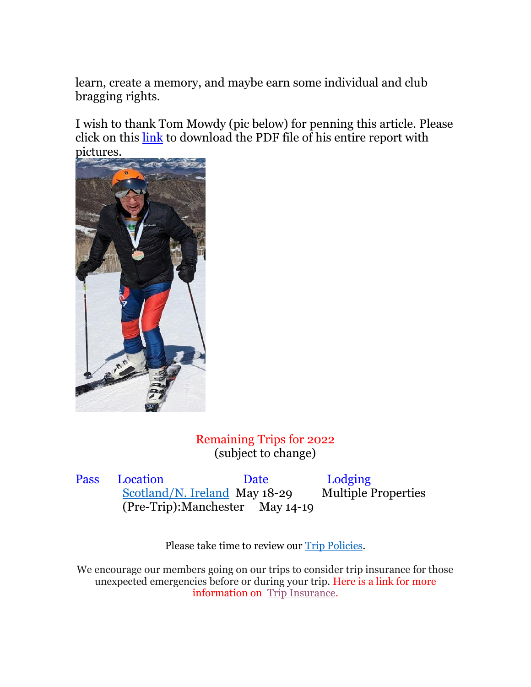learn, create a memory, and maybe earn some individual and club bragging rights.

I wish to thank Tom Mowdy (pic below) for penning this article. Please click on this [link](https://austinskiers.org/resources/Documents/Trips/TSC%20NASTAR/2022-23/Austin%20Skiers%20May%20Newsletter%20Racing%20article%20w%20photos.pdf) to download the PDF file of his entire report with pictures.



Remaining Trips for 2022 (subject to change)

Pass Location Date Lodging [Scotland/N. Ireland](https://austinskiers.org/page-1863675) May 18-29 Multiple Properties (Pre-Trip):Manchester May 14-19

Please take time to review our [Trip Policies.](https://austinskiers.org/page-1863656)

We encourage our members going on our trips to consider trip insurance for those unexpected emergencies before or during your trip. Here is a link for more information on [Trip Insurance.](https://austinskiers.org/page-1863660)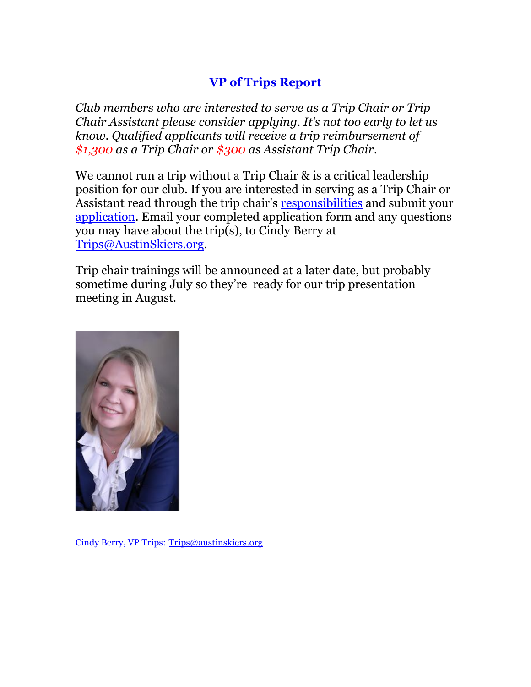# **VP of Trips Report**

*Club members who are interested to serve as a Trip Chair or Trip Chair Assistant please consider applying. It's not too early to let us know. Qualified applicants will receive a trip reimbursement of \$1,300 as a Trip Chair or \$300 as Assistant Trip Chair.*

We cannot run a trip without a Trip Chair & is a critical leadership position for our club. If you are interested in serving as a Trip Chair or Assistant read through the trip chair's [responsibilities](https://austinskiers.org/Trip-Chair-Duties) and submit your [application.](https://austinskiers.org/resources/Documents/Training%20Materials/AUSTIN%20SKIERS%20TRIP%20CHAIR%20APPLICATION_2023.docx) Email your completed application form and any questions you may have about the trip(s), to Cindy Berry at [Trips@AustinSkiers.org.](mailto:Trips@AustinSkiers.org)

Trip chair trainings will be announced at a later date, but probably sometime during July so they're ready for our trip presentation meeting in August.



Cindy Berry, VP Trips: [Trips@austinskiers.org](mailto:Trips@austinskiers.org)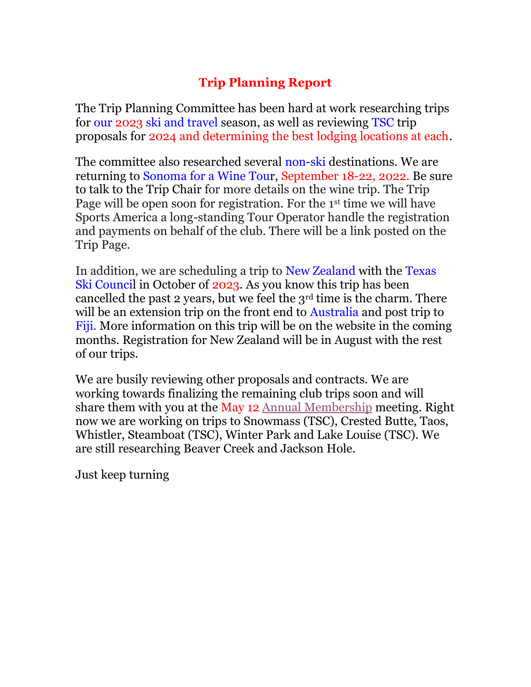# **Trip Planning Report**

The Trip Planning Committee has been hard at work researching trips for our 2023 ski and travel season, as well as reviewing TSC trip proposals for 2024 and determining the best lodging locations at each.

The committee also researched several non-ski destinations. We are returning to Sonoma for a Wine Tour, September 18-22, 2022. Be sure to talk to the Trip Chair for more details on the wine trip. The Trip Page will be open soon for registration. For the 1st time we will have Sports America a long-standing Tour Operator handle the registration and payments on behalf of the club. There will be a link posted on the Trip Page.

In addition, we are scheduling a trip to New Zealand with the Texas Ski Council in October of 2023. As you know this trip has been cancelled the past 2 years, but we feel the 3rd time is the charm. There will be an extension trip on the front end to Australia and post trip to Fiji. More information on this trip will be on the website in the coming months. Registration for New Zealand will be in August with the rest of our trips.

We are busily reviewing other proposals and contracts. We are working towards finalizing the remaining club trips soon and will share them with you at the May 12 [Annual Membership](https://austinskiers.org/event-4699623) meeting. Right now we are working on trips to Snowmass (TSC), Crested Butte, Taos, Whistler, Steamboat (TSC), Winter Park and Lake Louise (TSC). We are still researching Beaver Creek and Jackson Hole.

Just keep turning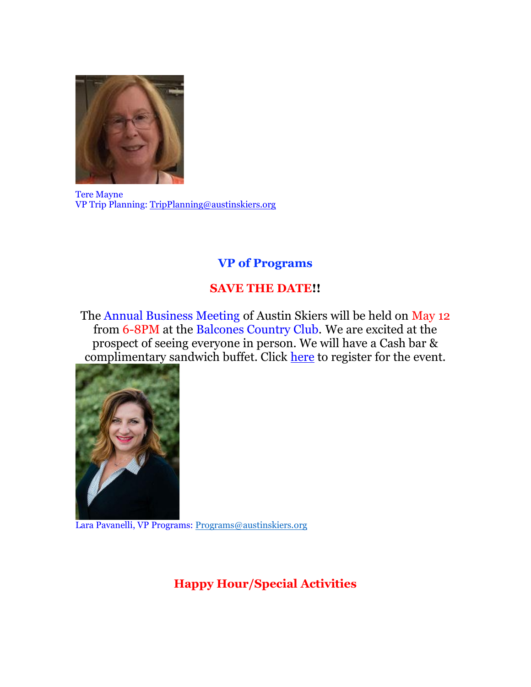

Tere Mayne VP Trip Planning: [TripPlanning@austinskiers.org](mailto:TripPlanning@austinskiers.org)

## **VP of Programs**

# **SAVE THE DATE!!**

The Annual Business Meeting of Austin Skiers will be held on May 12 from 6-8PM at the Balcones Country Club. We are excited at the prospect of seeing everyone in person. We will have a Cash bar & complimentary sandwich buffet. Click [here](https://austinskiers.org/event-4699623) to register for the event.



Lara Pavanelli, VP Programs: [Programs@austinskiers.org](mailto:Programs@austinskiers.org)

**Happy Hour/Special Activities**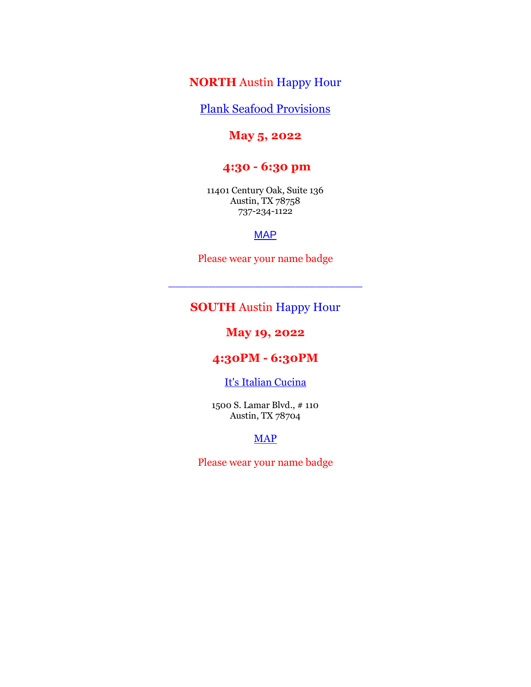#### **NORTH** Austin Happy Hour

[Plank Seafood Provisions](https://plankseafood.com/locations/texas/austin/the-domain)

#### **May 5, 2022**

## **4:30 - 6:30 pm**

11401 Century Oak, Suite 136 Austin, TX 78758 737-234-1122

#### **[MAP](https://www.google.com/maps/place/11401+Century+Oaks+Terrace+%2523136,+Austin,+TX+78758/@30.4007107,-97.7285069,17z/data=!3m1!4b1!4m5!3m4!1s0x8644cc71975f3461:0x4a8bdca94a3551c4!8m2!3d30.4007107!4d-97.7263182)**

Please wear your name badge

\_\_\_\_\_\_\_\_\_\_\_\_\_\_\_\_\_\_\_\_\_\_\_\_\_\_\_\_\_

## **SOUTH** Austin Happy Hour

#### **May 19, 2022**

#### **4:30PM - 6:30PM**

#### [It's Italian Cucina](https://itsitaliancucina.com/)

1500 S. Lamar Blvd., # 110 Austin, TX 78704

#### **[MAP](https://www.google.com/maps/place/424+S+Lamar+Blvd,+Austin,+TX+78704/@30.2613431,-97.7609423,17z/data=!3m1!4b1!4m5!3m4!1s0x8644b5199070f7d9:0x3b07487196b75769!8m2!3d30.2613431!4d-97.7587536)**

Please wear your name badge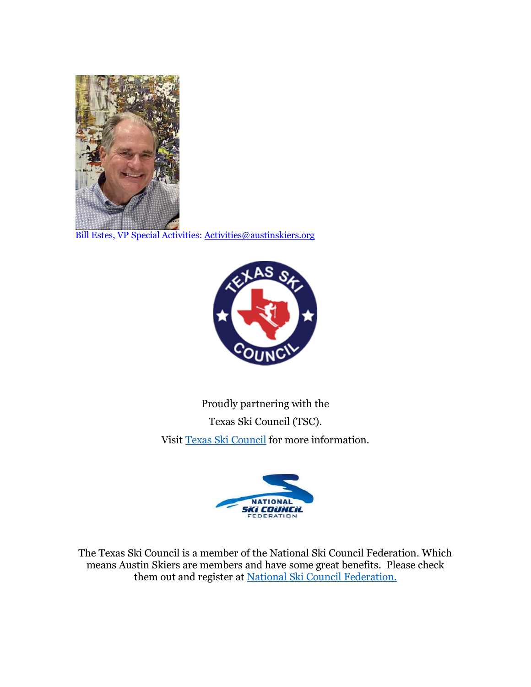

Bill Estes, VP Special Activities: [Activities@austinskiers.org](mailto:Activities@austinskiers.org)



Proudly partnering with the Texas Ski Council (TSC). Visit [Texas Ski Council](http://texas-ski.org/) for more information.



The Texas Ski Council is a member of the National Ski Council Federation. Which means Austin Skiers are members and have some great benefits. Please check them out and register at [National Ski Council Federation.](http://skifederation.org/)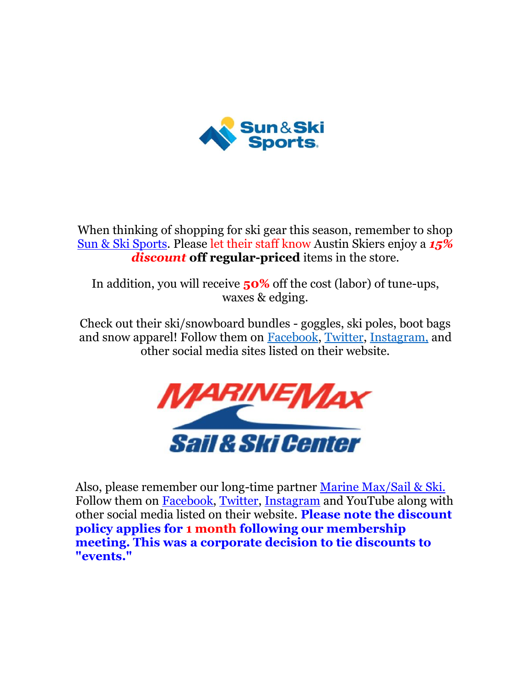

When thinking of shopping for ski gear this season, remember to shop [Sun & Ski Sports.](https://www.sunandski.com/austin) Please let their staff know Austin Skiers enjoy a *15% discount* **off regular-priced** items in the store.

In addition, you will receive **50%** off the cost (labor) of tune-ups, waxes & edging.

Check out their ski/snowboard bundles - goggles, ski poles, boot bags and snow apparel! Follow them on [Facebook,](https://www.facebook.com/sunandskisports) [Twitter,](https://twitter.com/SunAndSkiSports) [Instagram,](https://www.instagram.com/marinemax/) and other social media sites listed on their website.



Also, please remember our long-time partner [Marine Max/Sail & Ski.](https://www.marinemax.com/stores/austin)  Follow them on [Facebook,](https://www.facebook.com/sunandskisports) [Twitter,](https://twitter.com/sunandski) [Instagram](https://www.instagram.com/sailandskitx/) and YouTube along with other social media listed on their website. **Please note the discount policy applies for 1 month following our membership meeting. This was a corporate decision to tie discounts to "events."**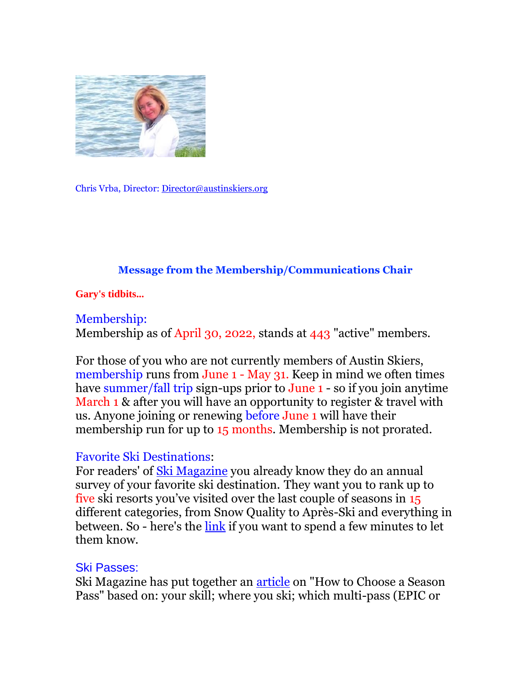

Chris Vrba, Director[: Director@austinskiers.org](mailto:Director@austinskiers.org)

### **Message from the Membership/Communications Chair**

**Gary's tidbits...**

Membership: Membership as of April 30, 2022, stands at 443 "active" members.

For those of you who are not currently members of Austin Skiers, membership runs from June 1 - May 31. Keep in mind we often times have summer/fall trip sign-ups prior to June 1 - so if you join anytime March 1 & after you will have an opportunity to register & travel with us. Anyone joining or renewing before June 1 will have their membership run for up to 15 months. Membership is not prorated.

## Favorite Ski Destinations:

For readers' of [Ski Magazine](https://www.skimag.com/) you already know they do an annual survey of your favorite ski destination. They want you to rank up to five ski resorts you've visited over the last couple of seasons in 15 different categories, from Snow Quality to Après-Ski and everything in between. So - here's the [link](https://survey.alchemer.com/s3/6815708/SKI-Reader-Resort-Survey-2023?utm_campaign=ski-survey&utm_medium=email&_hsmi=210501614&_hsenc=p2ANqtz-9xCsGufeyrEtU21Py_NC4m4JqF0boYN2TOBB_1AX4ndluWVqwq3UTx6OfXJcUVd1Y-fcvWoEfypkqbUBvtEENH1mtlCg&utm_content=210157822&utm_source=hs_email) if you want to spend a few minutes to let them know.

## Ski Passes:

Ski Magazine has put together an [article](https://www.skimag.com/ski-resort-life/how-to-choose-multipass-based-on-skill-level/?utm_campaign=SKI%20-%20NL%20&utm_medium=email&_hsmi=210140520&_hsenc=p2ANqtz-9s8NRrBDvnqfUaHS36eNpQWfJHKfXssw7e2kPD7aDq2R6kuf82Ah-Bx-1HqfM-ZHizqzdgncPNUxcHxmFaSY15iUbyTA&utm_content=210140520&utm_source=hs_email) on "How to Choose a Season Pass" based on: your skill; where you ski; which multi-pass (EPIC or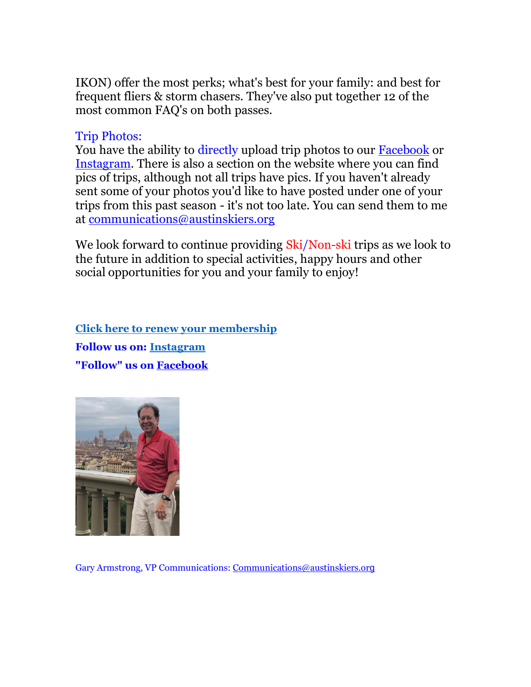IKON) offer the most perks; what's best for your family: and best for frequent fliers & storm chasers. They've also put together 12 of the most common FAQ's on both passes.

## Trip Photos:

You have the ability to directly upload trip photos to our [Facebook](https://www.facebook.com/AustinSkiers/?ref=bookmarks) or [Instagram.](https://www.instagram.com/austinskiers_01/) There is also a section on the website where you can find pics of trips, although not all trips have pics. If you haven't already sent some of your photos you'd like to have posted under one of your trips from this past season - it's not too late. You can send them to me at [communications@austinskiers.org](mailto:communications@austinskiers.org)

We look forward to continue providing Ski/Non-ski trips as we look to the future in addition to special activities, happy hours and other social opportunities for you and your family to enjoy!

**[Click here to renew your membership](https://austinskiers.org/page-1199877) Follow us on: [Instagram](https://www.instagram.com/austinskiers_01/) "Follow" us on [Facebook](https://www.facebook.com/AustinSkiers/)**



Gary Armstrong, VP Communications: [Communications@austinskiers.or](mailto:Communications@austinskiers.org)g